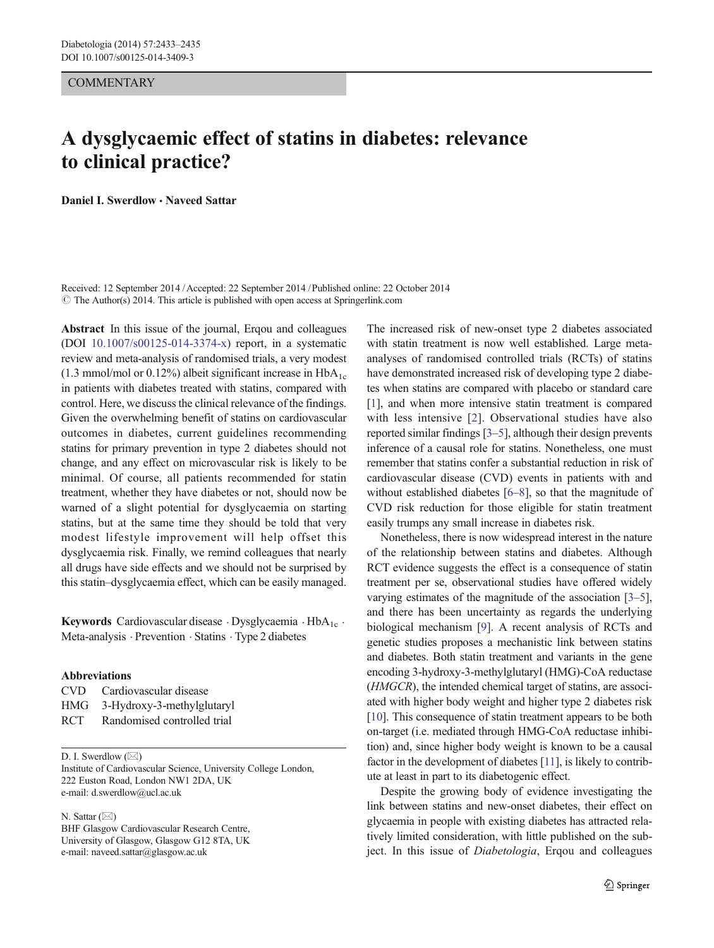## **COMMENTARY**

## A dysglycaemic effect of statins in diabetes: relevance to clinical practice?

Daniel I. Swerdlow · Naveed Sattar

Received: 12 September 2014 /Accepted: 22 September 2014 /Published online: 22 October 2014  $\odot$  The Author(s) 2014. This article is published with open access at Springerlink.com

Abstract In this issue of the journal, Ergou and colleagues (DOI [10.1007/s00125-014-3374-x](http://dx.doi.org/10.1007/s00125-014-3374-x)) report, in a systematic review and meta-analysis of randomised trials, a very modest (1.3 mmol/mol or 0.12%) albeit significant increase in  $HbA_{1c}$ in patients with diabetes treated with statins, compared with control. Here, we discuss the clinical relevance of the findings. Given the overwhelming benefit of statins on cardiovascular outcomes in diabetes, current guidelines recommending statins for primary prevention in type 2 diabetes should not change, and any effect on microvascular risk is likely to be minimal. Of course, all patients recommended for statin treatment, whether they have diabetes or not, should now be warned of a slight potential for dysglycaemia on starting statins, but at the same time they should be told that very modest lifestyle improvement will help offset this dysglycaemia risk. Finally, we remind colleagues that nearly all drugs have side effects and we should not be surprised by this statin–dysglycaemia effect, which can be easily managed.

Keywords Cardiovascular disease  $\cdot$  Dysglycaemia  $\cdot$  HbA<sub>1c</sub>  $\cdot$ Meta-analysis . Prevention . Statins . Type 2 diabetes

## Abbreviations

| CVD. | Cardiovascular disease      |
|------|-----------------------------|
| HMG  | 3-Hydroxy-3-methylglutaryl  |
| RCT. | Randomised controlled trial |

D. I. Swerdlow  $(\boxtimes)$ 

Institute of Cardiovascular Science, University College London, 222 Euston Road, London NW1 2DA, UK e-mail: d.swerdlow@ucl.ac.uk

N. Sattar  $(\boxtimes)$ 

BHF Glasgow Cardiovascular Research Centre, University of Glasgow, Glasgow G12 8TA, UK e-mail: naveed.sattar@glasgow.ac.uk

The increased risk of new-onset type 2 diabetes associated with statin treatment is now well established. Large metaanalyses of randomised controlled trials (RCTs) of statins have demonstrated increased risk of developing type 2 diabetes when statins are compared with placebo or standard care [\[1](#page-2-0)], and when more intensive statin treatment is compared with less intensive [[2\]](#page-2-0). Observational studies have also reported similar findings [\[3](#page-2-0)–[5\]](#page-2-0), although their design prevents inference of a causal role for statins. Nonetheless, one must remember that statins confer a substantial reduction in risk of cardiovascular disease (CVD) events in patients with and without established diabetes [\[6](#page-2-0)–[8](#page-2-0)], so that the magnitude of CVD risk reduction for those eligible for statin treatment easily trumps any small increase in diabetes risk.

Nonetheless, there is now widespread interest in the nature of the relationship between statins and diabetes. Although RCT evidence suggests the effect is a consequence of statin treatment per se, observational studies have offered widely varying estimates of the magnitude of the association [\[3](#page-2-0)–[5\]](#page-2-0), and there has been uncertainty as regards the underlying biological mechanism [\[9](#page-2-0)]. A recent analysis of RCTs and genetic studies proposes a mechanistic link between statins and diabetes. Both statin treatment and variants in the gene encoding 3-hydroxy-3-methylglutaryl (HMG)-CoA reductase (HMGCR), the intended chemical target of statins, are associated with higher body weight and higher type 2 diabetes risk [\[10](#page-2-0)]. This consequence of statin treatment appears to be both on-target (i.e. mediated through HMG-CoA reductase inhibition) and, since higher body weight is known to be a causal factor in the development of diabetes [\[11](#page-2-0)], is likely to contribute at least in part to its diabetogenic effect.

Despite the growing body of evidence investigating the link between statins and new-onset diabetes, their effect on glycaemia in people with existing diabetes has attracted relatively limited consideration, with little published on the subject. In this issue of Diabetologia, Erqou and colleagues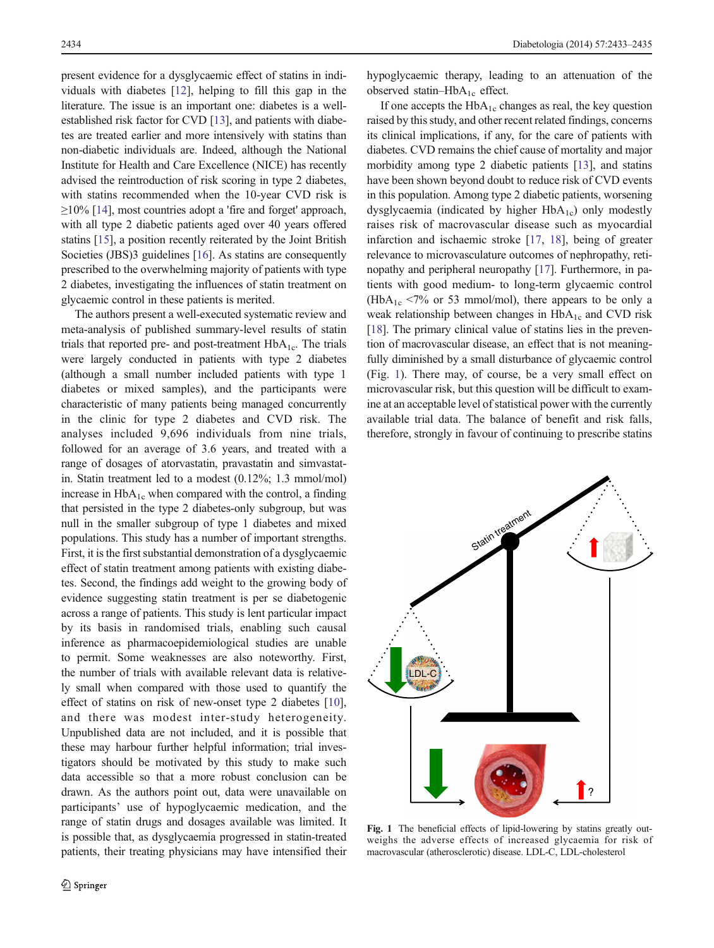present evidence for a dysglycaemic effect of statins in individuals with diabetes [[12\]](#page-2-0), helping to fill this gap in the literature. The issue is an important one: diabetes is a wellestablished risk factor for CVD [\[13](#page-2-0)], and patients with diabetes are treated earlier and more intensively with statins than non-diabetic individuals are. Indeed, although the National Institute for Health and Care Excellence (NICE) has recently advised the reintroduction of risk scoring in type 2 diabetes, with statins recommended when the 10-year CVD risk is  $\geq$ 10% [\[14\]](#page-2-0), most countries adopt a 'fire and forget' approach, with all type 2 diabetic patients aged over 40 years offered statins [[15](#page-2-0)], a position recently reiterated by the Joint British Societies (JBS)3 guidelines [\[16\]](#page-2-0). As statins are consequently prescribed to the overwhelming majority of patients with type 2 diabetes, investigating the influences of statin treatment on glycaemic control in these patients is merited.

The authors present a well-executed systematic review and meta-analysis of published summary-level results of statin trials that reported pre- and post-treatment  $HbA_{1c}$ . The trials were largely conducted in patients with type 2 diabetes (although a small number included patients with type 1 diabetes or mixed samples), and the participants were characteristic of many patients being managed concurrently in the clinic for type 2 diabetes and CVD risk. The analyses included 9,696 individuals from nine trials, followed for an average of 3.6 years, and treated with a range of dosages of atorvastatin, pravastatin and simvastatin. Statin treatment led to a modest (0.12%; 1.3 mmol/mol) increase in  $HbA_{1c}$  when compared with the control, a finding that persisted in the type 2 diabetes-only subgroup, but was null in the smaller subgroup of type 1 diabetes and mixed populations. This study has a number of important strengths. First, it is the first substantial demonstration of a dysglycaemic effect of statin treatment among patients with existing diabetes. Second, the findings add weight to the growing body of evidence suggesting statin treatment is per se diabetogenic across a range of patients. This study is lent particular impact by its basis in randomised trials, enabling such causal inference as pharmacoepidemiological studies are unable to permit. Some weaknesses are also noteworthy. First, the number of trials with available relevant data is relatively small when compared with those used to quantify the effect of statins on risk of new-onset type 2 diabetes [[10\]](#page-2-0), and there was modest inter-study heterogeneity. Unpublished data are not included, and it is possible that these may harbour further helpful information; trial investigators should be motivated by this study to make such data accessible so that a more robust conclusion can be drawn. As the authors point out, data were unavailable on participants' use of hypoglycaemic medication, and the range of statin drugs and dosages available was limited. It is possible that, as dysglycaemia progressed in statin-treated patients, their treating physicians may have intensified their hypoglycaemic therapy, leading to an attenuation of the observed statin–Hb $A_{1c}$  effect.

If one accepts the  $HbA_{1c}$  changes as real, the key question raised by this study, and other recent related findings, concerns its clinical implications, if any, for the care of patients with diabetes. CVD remains the chief cause of mortality and major morbidity among type 2 diabetic patients [[13](#page-2-0)], and statins have been shown beyond doubt to reduce risk of CVD events in this population. Among type 2 diabetic patients, worsening dysglycaemia (indicated by higher  $HbA_{1c}$ ) only modestly raises risk of macrovascular disease such as myocardial infarction and ischaemic stroke [[17,](#page-2-0) [18\]](#page-2-0), being of greater relevance to microvasculature outcomes of nephropathy, retinopathy and peripheral neuropathy [\[17](#page-2-0)]. Furthermore, in patients with good medium- to long-term glycaemic control (HbA<sub>1c</sub> <7% or 53 mmol/mol), there appears to be only a weak relationship between changes in  $HbA_{1c}$  and CVD risk [\[18](#page-2-0)]. The primary clinical value of statins lies in the prevention of macrovascular disease, an effect that is not meaningfully diminished by a small disturbance of glycaemic control (Fig. 1). There may, of course, be a very small effect on microvascular risk, but this question will be difficult to examine at an acceptable level of statistical power with the currently available trial data. The balance of benefit and risk falls, therefore, strongly in favour of continuing to prescribe statins



Fig. 1 The beneficial effects of lipid-lowering by statins greatly outweighs the adverse effects of increased glycaemia for risk of macrovascular (atherosclerotic) disease. LDL-C, LDL-cholesterol